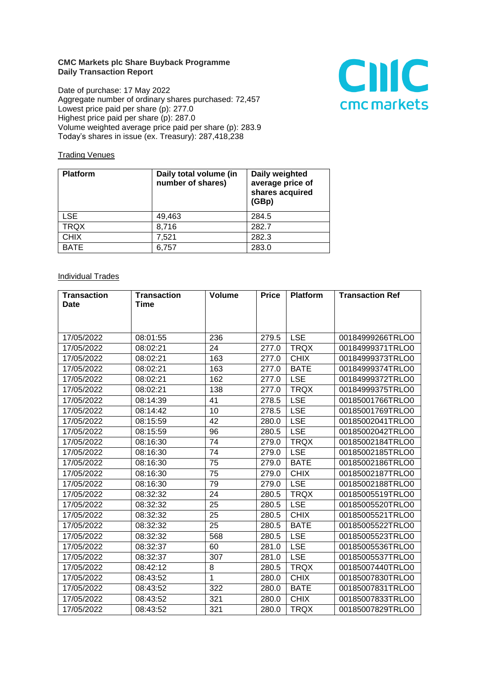## **CMC Markets plc Share Buyback Programme Daily Transaction Report**

Date of purchase: 17 May 2022 Aggregate number of ordinary shares purchased: 72,457 Lowest price paid per share (p): 277.0 Highest price paid per share (p): 287.0 Volume weighted average price paid per share (p): 283.9 Today's shares in issue (ex. Treasury): 287,418,238



## **Trading Venues**

| <b>Platform</b> | Daily total volume (in<br>number of shares) | Daily weighted<br>average price of<br>shares acquired<br>(GBp) |
|-----------------|---------------------------------------------|----------------------------------------------------------------|
| <b>LSE</b>      | 49,463                                      | 284.5                                                          |
| <b>TRQX</b>     | 8,716                                       | 282.7                                                          |
| <b>CHIX</b>     | 7,521                                       | 282.3                                                          |
| <b>BATE</b>     | 6,757                                       | 283.0                                                          |

## **Individual Trades**

| <b>Transaction</b> | <b>Transaction</b> | <b>Volume</b> | <b>Price</b> | <b>Platform</b> | <b>Transaction Ref</b> |
|--------------------|--------------------|---------------|--------------|-----------------|------------------------|
| <b>Date</b>        | <b>Time</b>        |               |              |                 |                        |
|                    |                    |               |              |                 |                        |
|                    |                    |               |              |                 |                        |
| 17/05/2022         | 08:01:55           | 236           | 279.5        | <b>LSE</b>      | 00184999266TRLO0       |
| 17/05/2022         | 08:02:21           | 24            | 277.0        | <b>TRQX</b>     | 00184999371TRLO0       |
| 17/05/2022         | 08:02:21           | 163           | 277.0        | <b>CHIX</b>     | 00184999373TRLO0       |
| 17/05/2022         | 08:02:21           | 163           | 277.0        | <b>BATE</b>     | 00184999374TRLO0       |
| 17/05/2022         | 08:02:21           | 162           | 277.0        | <b>LSE</b>      | 00184999372TRLO0       |
| 17/05/2022         | 08:02:21           | 138           | 277.0        | <b>TRQX</b>     | 00184999375TRLO0       |
| 17/05/2022         | 08:14:39           | 41            | 278.5        | <b>LSE</b>      | 00185001766TRLO0       |
| 17/05/2022         | 08:14:42           | 10            | 278.5        | <b>LSE</b>      | 00185001769TRLO0       |
| 17/05/2022         | 08:15:59           | 42            | 280.0        | <b>LSE</b>      | 00185002041TRLO0       |
| 17/05/2022         | 08:15:59           | 96            | 280.5        | <b>LSE</b>      | 00185002042TRLO0       |
| 17/05/2022         | 08:16:30           | 74            | 279.0        | <b>TRQX</b>     | 00185002184TRLO0       |
| 17/05/2022         | 08:16:30           | 74            | 279.0        | <b>LSE</b>      | 00185002185TRLO0       |
| 17/05/2022         | 08:16:30           | 75            | 279.0        | <b>BATE</b>     | 00185002186TRLO0       |
| 17/05/2022         | 08:16:30           | 75            | 279.0        | <b>CHIX</b>     | 00185002187TRLO0       |
| 17/05/2022         | 08:16:30           | 79            | 279.0        | <b>LSE</b>      | 00185002188TRLO0       |
| 17/05/2022         | 08:32:32           | 24            | 280.5        | <b>TRQX</b>     | 00185005519TRLO0       |
| 17/05/2022         | 08:32:32           | 25            | 280.5        | <b>LSE</b>      | 00185005520TRLO0       |
| 17/05/2022         | 08:32:32           | 25            | 280.5        | <b>CHIX</b>     | 00185005521TRLO0       |
| 17/05/2022         | 08:32:32           | 25            | 280.5        | <b>BATE</b>     | 00185005522TRLO0       |
| 17/05/2022         | 08:32:32           | 568           | 280.5        | <b>LSE</b>      | 00185005523TRLO0       |
| 17/05/2022         | 08:32:37           | 60            | 281.0        | <b>LSE</b>      | 00185005536TRLO0       |
| 17/05/2022         | 08:32:37           | 307           | 281.0        | <b>LSE</b>      | 00185005537TRLO0       |
| 17/05/2022         | 08:42:12           | 8             | 280.5        | <b>TRQX</b>     | 00185007440TRLO0       |
| 17/05/2022         | 08:43:52           | 1             | 280.0        | <b>CHIX</b>     | 00185007830TRLO0       |
| 17/05/2022         | 08:43:52           | 322           | 280.0        | <b>BATE</b>     | 00185007831TRLO0       |
| 17/05/2022         | 08:43:52           | 321           | 280.0        | <b>CHIX</b>     | 00185007833TRLO0       |
| 17/05/2022         | 08:43:52           | 321           | 280.0        | <b>TRQX</b>     | 00185007829TRLO0       |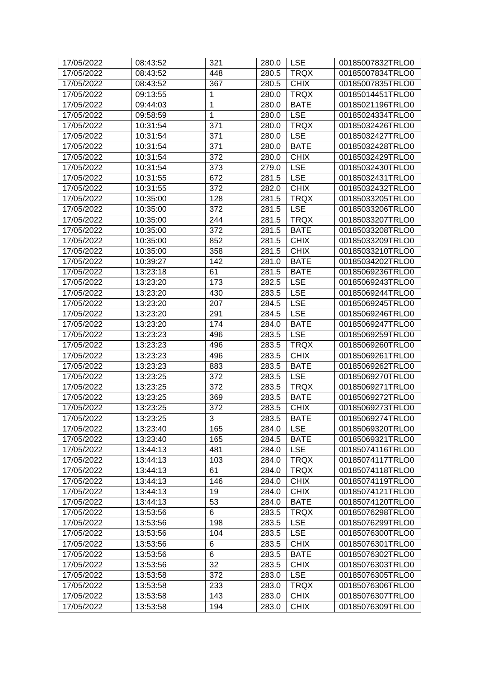| 17/05/2022 | 08:43:52 | 321 | 280.0 | <b>LSE</b>  | 00185007832TRLO0 |
|------------|----------|-----|-------|-------------|------------------|
| 17/05/2022 | 08:43:52 | 448 | 280.5 | <b>TRQX</b> | 00185007834TRLO0 |
| 17/05/2022 | 08:43:52 | 367 | 280.5 | <b>CHIX</b> | 00185007835TRLO0 |
| 17/05/2022 | 09:13:55 | 1   | 280.0 | <b>TRQX</b> | 00185014451TRLO0 |
| 17/05/2022 | 09:44:03 | 1   | 280.0 | <b>BATE</b> | 00185021196TRLO0 |
| 17/05/2022 | 09:58:59 | 1   | 280.0 | <b>LSE</b>  | 00185024334TRLO0 |
| 17/05/2022 | 10:31:54 | 371 | 280.0 | <b>TRQX</b> | 00185032426TRLO0 |
| 17/05/2022 | 10:31:54 | 371 | 280.0 | <b>LSE</b>  | 00185032427TRLO0 |
| 17/05/2022 | 10:31:54 | 371 | 280.0 | <b>BATE</b> | 00185032428TRLO0 |
| 17/05/2022 | 10:31:54 | 372 | 280.0 | <b>CHIX</b> | 00185032429TRLO0 |
| 17/05/2022 | 10:31:54 | 373 | 279.0 | <b>LSE</b>  | 00185032430TRLO0 |
| 17/05/2022 | 10:31:55 | 672 | 281.5 | <b>LSE</b>  | 00185032431TRLO0 |
| 17/05/2022 | 10:31:55 | 372 | 282.0 | <b>CHIX</b> | 00185032432TRLO0 |
| 17/05/2022 | 10:35:00 | 128 | 281.5 | <b>TRQX</b> | 00185033205TRLO0 |
| 17/05/2022 | 10:35:00 | 372 | 281.5 | <b>LSE</b>  | 00185033206TRLO0 |
| 17/05/2022 | 10:35:00 | 244 | 281.5 | <b>TRQX</b> | 00185033207TRLO0 |
| 17/05/2022 | 10:35:00 | 372 | 281.5 | <b>BATE</b> | 00185033208TRLO0 |
| 17/05/2022 | 10:35:00 | 852 | 281.5 | <b>CHIX</b> | 00185033209TRLO0 |
| 17/05/2022 | 10:35:00 | 358 | 281.5 | <b>CHIX</b> | 00185033210TRLO0 |
| 17/05/2022 | 10:39:27 | 142 | 281.0 | <b>BATE</b> | 00185034202TRLO0 |
| 17/05/2022 | 13:23:18 | 61  | 281.5 | <b>BATE</b> | 00185069236TRLO0 |
| 17/05/2022 | 13:23:20 | 173 | 282.5 | <b>LSE</b>  | 00185069243TRLO0 |
| 17/05/2022 | 13:23:20 | 430 | 283.5 | <b>LSE</b>  | 00185069244TRLO0 |
| 17/05/2022 | 13:23:20 | 207 | 284.5 | <b>LSE</b>  | 00185069245TRLO0 |
| 17/05/2022 | 13:23:20 | 291 | 284.5 | <b>LSE</b>  | 00185069246TRLO0 |
| 17/05/2022 | 13:23:20 | 174 | 284.0 | <b>BATE</b> | 00185069247TRLO0 |
| 17/05/2022 | 13:23:23 | 496 | 283.5 | <b>LSE</b>  | 00185069259TRLO0 |
| 17/05/2022 | 13:23:23 | 496 | 283.5 | <b>TRQX</b> | 00185069260TRLO0 |
| 17/05/2022 | 13:23:23 | 496 | 283.5 | <b>CHIX</b> | 00185069261TRLO0 |
| 17/05/2022 | 13:23:23 | 883 | 283.5 | <b>BATE</b> | 00185069262TRLO0 |
| 17/05/2022 | 13:23:25 | 372 | 283.5 | <b>LSE</b>  | 00185069270TRLO0 |
| 17/05/2022 | 13:23:25 | 372 | 283.5 | <b>TRQX</b> | 00185069271TRLO0 |
| 17/05/2022 | 13:23:25 | 369 | 283.5 | <b>BATE</b> | 00185069272TRLO0 |
| 17/05/2022 | 13:23:25 | 372 | 283.5 | <b>CHIX</b> | 00185069273TRLO0 |
| 17/05/2022 | 13:23:25 | 3   | 283.5 | <b>BATE</b> | 00185069274TRLO0 |
| 17/05/2022 | 13:23:40 | 165 | 284.0 | <b>LSE</b>  | 00185069320TRLO0 |
| 17/05/2022 | 13:23:40 | 165 | 284.5 | <b>BATE</b> | 00185069321TRLO0 |
| 17/05/2022 | 13:44:13 | 481 | 284.0 | <b>LSE</b>  | 00185074116TRLO0 |
| 17/05/2022 | 13:44:13 | 103 | 284.0 | <b>TRQX</b> | 00185074117TRLO0 |
| 17/05/2022 | 13:44:13 | 61  | 284.0 | <b>TRQX</b> | 00185074118TRLO0 |
| 17/05/2022 | 13:44:13 | 146 | 284.0 | <b>CHIX</b> | 00185074119TRLO0 |
| 17/05/2022 | 13:44:13 | 19  | 284.0 | <b>CHIX</b> | 00185074121TRLO0 |
| 17/05/2022 | 13:44:13 | 53  | 284.0 | <b>BATE</b> | 00185074120TRLO0 |
| 17/05/2022 | 13:53:56 | 6   | 283.5 | <b>TRQX</b> | 00185076298TRLO0 |
| 17/05/2022 | 13:53:56 | 198 | 283.5 | <b>LSE</b>  | 00185076299TRLO0 |
| 17/05/2022 | 13:53:56 | 104 | 283.5 | <b>LSE</b>  | 00185076300TRLO0 |
| 17/05/2022 | 13:53:56 | 6   | 283.5 | <b>CHIX</b> | 00185076301TRLO0 |
| 17/05/2022 | 13:53:56 | 6   | 283.5 | <b>BATE</b> | 00185076302TRLO0 |
| 17/05/2022 | 13:53:56 | 32  | 283.5 | <b>CHIX</b> | 00185076303TRLO0 |
| 17/05/2022 | 13:53:58 | 372 | 283.0 | <b>LSE</b>  | 00185076305TRLO0 |
| 17/05/2022 | 13:53:58 | 233 | 283.0 | <b>TRQX</b> | 00185076306TRLO0 |
| 17/05/2022 | 13:53:58 | 143 | 283.0 | <b>CHIX</b> | 00185076307TRLO0 |
| 17/05/2022 | 13:53:58 | 194 | 283.0 | <b>CHIX</b> | 00185076309TRLO0 |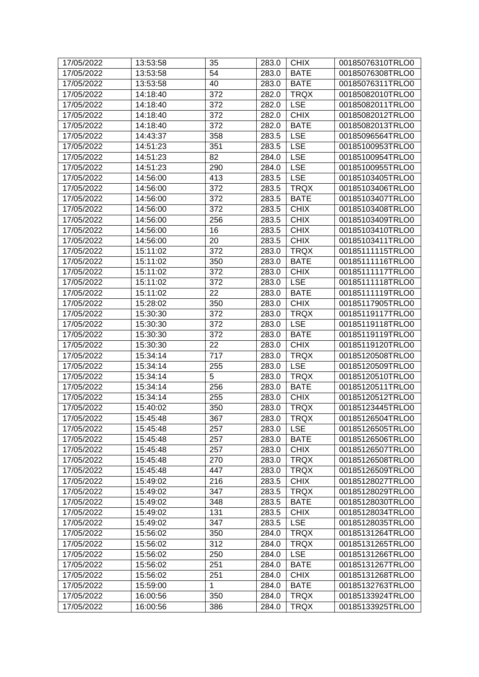| 17/05/2022 | 13:53:58 | 35           | 283.0 | <b>CHIX</b> | 00185076310TRLO0 |
|------------|----------|--------------|-------|-------------|------------------|
| 17/05/2022 | 13:53:58 | 54           | 283.0 | <b>BATE</b> | 00185076308TRLO0 |
| 17/05/2022 | 13:53:58 | 40           | 283.0 | <b>BATE</b> | 00185076311TRLO0 |
| 17/05/2022 | 14:18:40 | 372          | 282.0 | <b>TRQX</b> | 00185082010TRLO0 |
| 17/05/2022 | 14:18:40 | 372          | 282.0 | <b>LSE</b>  | 00185082011TRLO0 |
| 17/05/2022 | 14:18:40 | 372          | 282.0 | <b>CHIX</b> | 00185082012TRLO0 |
| 17/05/2022 | 14:18:40 | 372          | 282.0 | <b>BATE</b> | 00185082013TRLO0 |
| 17/05/2022 | 14:43:37 | 358          | 283.5 | <b>LSE</b>  | 00185096564TRLO0 |
| 17/05/2022 | 14:51:23 | 351          | 283.5 | <b>LSE</b>  | 00185100953TRLO0 |
| 17/05/2022 | 14:51:23 | 82           | 284.0 | <b>LSE</b>  | 00185100954TRLO0 |
| 17/05/2022 | 14:51:23 | 290          | 284.0 | <b>LSE</b>  | 00185100955TRLO0 |
| 17/05/2022 | 14:56:00 | 413          | 283.5 | <b>LSE</b>  | 00185103405TRLO0 |
| 17/05/2022 | 14:56:00 | 372          | 283.5 | <b>TRQX</b> | 00185103406TRLO0 |
| 17/05/2022 | 14:56:00 | 372          | 283.5 | <b>BATE</b> | 00185103407TRLO0 |
| 17/05/2022 | 14:56:00 | 372          | 283.5 | <b>CHIX</b> | 00185103408TRLO0 |
| 17/05/2022 | 14:56:00 | 256          | 283.5 | <b>CHIX</b> | 00185103409TRLO0 |
| 17/05/2022 | 14:56:00 | 16           | 283.5 | <b>CHIX</b> | 00185103410TRLO0 |
| 17/05/2022 | 14:56:00 | 20           | 283.5 | <b>CHIX</b> | 00185103411TRLO0 |
| 17/05/2022 | 15:11:02 | 372          | 283.0 | <b>TRQX</b> | 00185111115TRLO0 |
| 17/05/2022 | 15:11:02 | 350          | 283.0 | <b>BATE</b> | 00185111116TRLO0 |
| 17/05/2022 | 15:11:02 | 372          | 283.0 | <b>CHIX</b> | 00185111117TRLO0 |
| 17/05/2022 | 15:11:02 | 372          | 283.0 | <b>LSE</b>  | 00185111118TRLO0 |
| 17/05/2022 | 15:11:02 | 22           | 283.0 | <b>BATE</b> | 00185111119TRLO0 |
| 17/05/2022 | 15:28:02 | 350          | 283.0 | <b>CHIX</b> | 00185117905TRLO0 |
| 17/05/2022 | 15:30:30 | 372          | 283.0 | <b>TRQX</b> | 00185119117TRLO0 |
| 17/05/2022 | 15:30:30 | 372          | 283.0 | <b>LSE</b>  | 00185119118TRLO0 |
| 17/05/2022 | 15:30:30 | 372          | 283.0 | <b>BATE</b> | 00185119119TRLO0 |
| 17/05/2022 | 15:30:30 | 22           | 283.0 | <b>CHIX</b> | 00185119120TRLO0 |
| 17/05/2022 | 15:34:14 | 717          | 283.0 | <b>TRQX</b> | 00185120508TRLO0 |
| 17/05/2022 | 15:34:14 | 255          | 283.0 | <b>LSE</b>  | 00185120509TRLO0 |
| 17/05/2022 | 15:34:14 | 5            | 283.0 | <b>TRQX</b> | 00185120510TRLO0 |
| 17/05/2022 | 15:34:14 | 256          | 283.0 | <b>BATE</b> | 00185120511TRLO0 |
| 17/05/2022 | 15:34:14 | 255          | 283.0 | <b>CHIX</b> | 00185120512TRLO0 |
| 17/05/2022 | 15:40:02 | 350          | 283.0 | <b>TRQX</b> | 00185123445TRLO0 |
| 17/05/2022 | 15:45:48 | 367          | 283.0 | <b>TRQX</b> | 00185126504TRLO0 |
| 17/05/2022 | 15:45:48 | 257          | 283.0 | <b>LSE</b>  | 00185126505TRLO0 |
| 17/05/2022 | 15:45:48 | 257          | 283.0 | <b>BATE</b> | 00185126506TRLO0 |
| 17/05/2022 | 15:45:48 | 257          | 283.0 | <b>CHIX</b> | 00185126507TRLO0 |
| 17/05/2022 | 15:45:48 | 270          | 283.0 | <b>TRQX</b> | 00185126508TRLO0 |
| 17/05/2022 | 15:45:48 | 447          | 283.0 | <b>TRQX</b> | 00185126509TRLO0 |
| 17/05/2022 | 15:49:02 | 216          | 283.5 | <b>CHIX</b> | 00185128027TRLO0 |
| 17/05/2022 | 15:49:02 | 347          | 283.5 | <b>TRQX</b> | 00185128029TRLO0 |
| 17/05/2022 | 15:49:02 | 348          | 283.5 | <b>BATE</b> | 00185128030TRLO0 |
| 17/05/2022 | 15:49:02 | 131          | 283.5 | <b>CHIX</b> | 00185128034TRLO0 |
| 17/05/2022 | 15:49:02 | 347          | 283.5 | <b>LSE</b>  | 00185128035TRLO0 |
| 17/05/2022 | 15:56:02 | 350          | 284.0 | <b>TRQX</b> | 00185131264TRLO0 |
| 17/05/2022 | 15:56:02 | 312          | 284.0 | <b>TRQX</b> | 00185131265TRLO0 |
| 17/05/2022 | 15:56:02 | 250          | 284.0 | <b>LSE</b>  | 00185131266TRLO0 |
| 17/05/2022 | 15:56:02 | 251          | 284.0 | <b>BATE</b> | 00185131267TRLO0 |
| 17/05/2022 | 15:56:02 | 251          | 284.0 | <b>CHIX</b> | 00185131268TRLO0 |
| 17/05/2022 | 15:59:00 | $\mathbf{1}$ | 284.0 | <b>BATE</b> | 00185132763TRLO0 |
| 17/05/2022 | 16:00:56 | 350          | 284.0 | <b>TRQX</b> | 00185133924TRLO0 |
| 17/05/2022 | 16:00:56 | 386          | 284.0 | <b>TRQX</b> | 00185133925TRLO0 |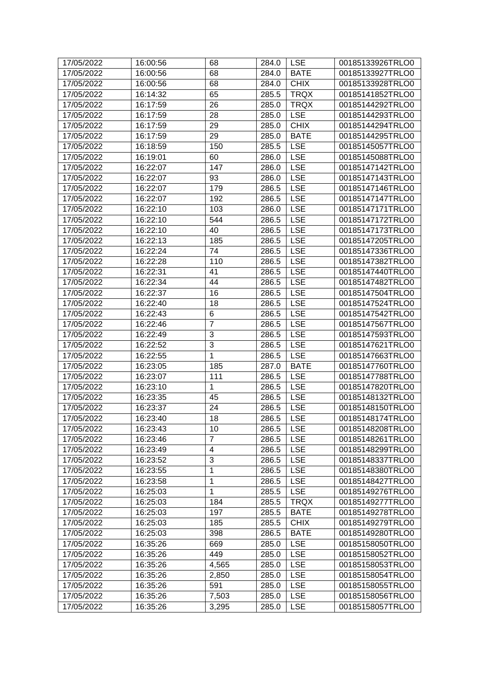| 17/05/2022 | 16:00:56 | 68             | 284.0 | <b>LSE</b>  | 00185133926TRLO0 |
|------------|----------|----------------|-------|-------------|------------------|
| 17/05/2022 | 16:00:56 | 68             | 284.0 | <b>BATE</b> | 00185133927TRLO0 |
| 17/05/2022 | 16:00:56 | 68             | 284.0 | <b>CHIX</b> | 00185133928TRLO0 |
| 17/05/2022 | 16:14:32 | 65             | 285.5 | <b>TRQX</b> | 00185141852TRLO0 |
| 17/05/2022 | 16:17:59 | 26             | 285.0 | <b>TRQX</b> | 00185144292TRLO0 |
| 17/05/2022 | 16:17:59 | 28             | 285.0 | <b>LSE</b>  | 00185144293TRLO0 |
| 17/05/2022 | 16:17:59 | 29             | 285.0 | <b>CHIX</b> | 00185144294TRLO0 |
| 17/05/2022 | 16:17:59 | 29             | 285.0 | <b>BATE</b> | 00185144295TRLO0 |
| 17/05/2022 | 16:18:59 | 150            | 285.5 | <b>LSE</b>  | 00185145057TRLO0 |
| 17/05/2022 | 16:19:01 | 60             | 286.0 | <b>LSE</b>  | 00185145088TRLO0 |
| 17/05/2022 | 16:22:07 | 147            | 286.0 | <b>LSE</b>  | 00185147142TRLO0 |
| 17/05/2022 | 16:22:07 | 93             | 286.0 | <b>LSE</b>  | 00185147143TRLO0 |
| 17/05/2022 | 16:22:07 | 179            | 286.5 | <b>LSE</b>  | 00185147146TRLO0 |
| 17/05/2022 | 16:22:07 | 192            | 286.5 | <b>LSE</b>  | 00185147147TRLO0 |
| 17/05/2022 | 16:22:10 | 103            | 286.0 | <b>LSE</b>  | 00185147171TRLO0 |
| 17/05/2022 | 16:22:10 | 544            | 286.5 | <b>LSE</b>  | 00185147172TRLO0 |
| 17/05/2022 | 16:22:10 | 40             | 286.5 | <b>LSE</b>  | 00185147173TRLO0 |
| 17/05/2022 | 16:22:13 | 185            | 286.5 | <b>LSE</b>  | 00185147205TRLO0 |
| 17/05/2022 | 16:22:24 | 74             | 286.5 | <b>LSE</b>  | 00185147336TRLO0 |
| 17/05/2022 | 16:22:28 | 110            | 286.5 | <b>LSE</b>  | 00185147382TRLO0 |
| 17/05/2022 | 16:22:31 | 41             | 286.5 | <b>LSE</b>  | 00185147440TRLO0 |
| 17/05/2022 | 16:22:34 | 44             | 286.5 | <b>LSE</b>  | 00185147482TRLO0 |
| 17/05/2022 | 16:22:37 | 16             | 286.5 | <b>LSE</b>  | 00185147504TRLO0 |
| 17/05/2022 | 16:22:40 | 18             | 286.5 | <b>LSE</b>  | 00185147524TRLO0 |
| 17/05/2022 | 16:22:43 | 6              | 286.5 | <b>LSE</b>  | 00185147542TRLO0 |
| 17/05/2022 | 16:22:46 | 7              | 286.5 | <b>LSE</b>  | 00185147567TRLO0 |
| 17/05/2022 | 16:22:49 | 3              | 286.5 | <b>LSE</b>  | 00185147593TRLO0 |
| 17/05/2022 | 16:22:52 | 3              | 286.5 | <b>LSE</b>  | 00185147621TRLO0 |
| 17/05/2022 | 16:22:55 | 1              | 286.5 | <b>LSE</b>  | 00185147663TRLO0 |
| 17/05/2022 | 16:23:05 | 185            | 287.0 | <b>BATE</b> | 00185147760TRLO0 |
| 17/05/2022 | 16:23:07 | 111            | 286.5 | <b>LSE</b>  | 00185147788TRLO0 |
| 17/05/2022 | 16:23:10 | 1              | 286.5 | <b>LSE</b>  | 00185147820TRLO0 |
| 17/05/2022 | 16:23:35 | 45             | 286.5 | <b>LSE</b>  | 00185148132TRLO0 |
| 17/05/2022 | 16:23:37 | 24             | 286.5 | <b>LSE</b>  | 00185148150TRLO0 |
| 17/05/2022 | 16:23:40 | 18             | 286.5 | $ $ LSE     | 00185148174TRLO0 |
| 17/05/2022 | 16:23:43 | 10             | 286.5 | <b>LSE</b>  | 00185148208TRLO0 |
| 17/05/2022 | 16:23:46 | $\overline{7}$ | 286.5 | <b>LSE</b>  | 00185148261TRLO0 |
| 17/05/2022 | 16:23:49 | 4              | 286.5 | <b>LSE</b>  | 00185148299TRLO0 |
| 17/05/2022 | 16:23:52 | 3              | 286.5 | <b>LSE</b>  | 00185148337TRLO0 |
| 17/05/2022 | 16:23:55 | 1              | 286.5 | <b>LSE</b>  | 00185148380TRLO0 |
| 17/05/2022 | 16:23:58 | 1              | 286.5 | <b>LSE</b>  | 00185148427TRLO0 |
| 17/05/2022 | 16:25:03 | 1              | 285.5 | <b>LSE</b>  | 00185149276TRLO0 |
| 17/05/2022 | 16:25:03 | 184            | 285.5 | <b>TRQX</b> | 00185149277TRLO0 |
| 17/05/2022 | 16:25:03 | 197            | 285.5 | <b>BATE</b> | 00185149278TRLO0 |
| 17/05/2022 | 16:25:03 | 185            | 285.5 | <b>CHIX</b> | 00185149279TRLO0 |
| 17/05/2022 | 16:25:03 | 398            | 286.5 | <b>BATE</b> | 00185149280TRLO0 |
| 17/05/2022 | 16:35:26 | 669            | 285.0 | <b>LSE</b>  | 00185158050TRLO0 |
| 17/05/2022 | 16:35:26 | 449            | 285.0 | <b>LSE</b>  | 00185158052TRLO0 |
| 17/05/2022 | 16:35:26 | 4,565          | 285.0 | <b>LSE</b>  | 00185158053TRLO0 |
| 17/05/2022 | 16:35:26 | 2,850          | 285.0 | <b>LSE</b>  | 00185158054TRLO0 |
| 17/05/2022 | 16:35:26 | 591            | 285.0 | <b>LSE</b>  | 00185158055TRLO0 |
| 17/05/2022 | 16:35:26 | 7,503          | 285.0 | <b>LSE</b>  | 00185158056TRLO0 |
| 17/05/2022 | 16:35:26 | 3,295          | 285.0 | <b>LSE</b>  | 00185158057TRLO0 |